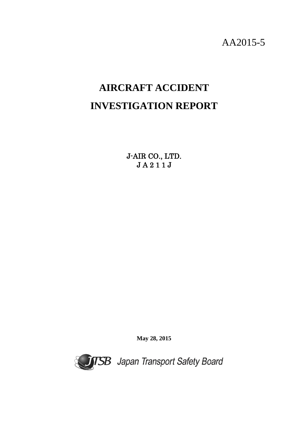AA2015-5

# **AIRCRAFT ACCIDENT INVESTIGATION REPORT**

J-AIR CO., LTD. J A 2 1 1 J

**May 28, 2015**

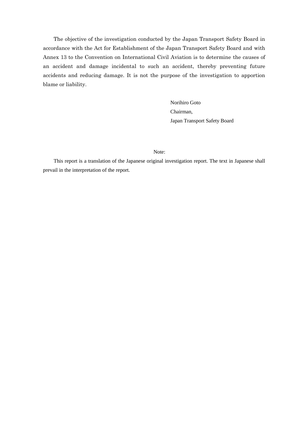The objective of the investigation conducted by the Japan Transport Safety Board in accordance with the Act for Establishment of the Japan Transport Safety Board and with Annex 13 to the Convention on International Civil Aviation is to determine the causes of an accident and damage incidental to such an accident, thereby preventing future accidents and reducing damage. It is not the purpose of the investigation to apportion blame or liability.

> Norihiro Goto Chairman, Japan Transport Safety Board

Note:

This report is a translation of the Japanese original investigation report. The text in Japanese shall prevail in the interpretation of the report.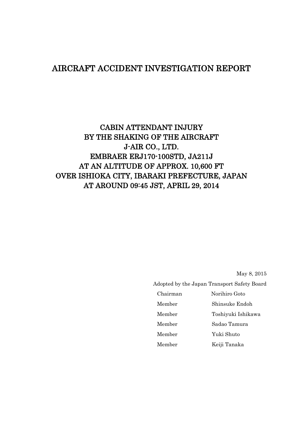### AIRCRAFT ACCIDENT INVESTIGATION REPORT

# CABIN ATTENDANT INJURY BY THE SHAKING OF THE AIRCRAFT J-AIR CO., LTD. EMBRAER ERJ170-100STD, JA211J AT AN ALTITUDE OF APPROX. 10,600 FT OVER ISHIOKA CITY, IBARAKI PREFECTURE, JAPAN AT AROUND 09:45 JST, APRIL 29, 2014

May 8, 2015

Adopted by the Japan Transport Safety Board

| Chairman | Norihiro Goto      |
|----------|--------------------|
| Member   | Shinsuke Endoh     |
| Member   | Toshiyuki Ishikawa |
| Member   | Sadao Tamura       |
| Member   | Yuki Shuto         |
| Member   | Keiji Tanaka       |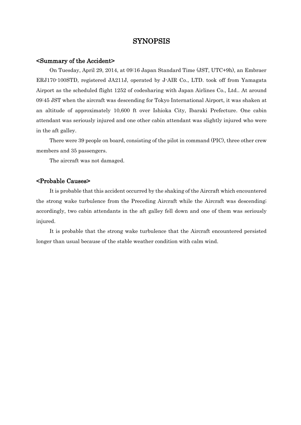#### SYNOPSIS

#### <Summary of the Accident>

On Tuesday, April 29, 2014, at 09:16 Japan Standard Time (JST, UTC+9h), an Embraer ERJ170-100STD, registered JA211J, operated by J-AIR Co., LTD. took off from Yamagata Airport as the scheduled flight 1252 of codesharing with Japan Airlines Co., Ltd.. At around 09:45 JST when the aircraft was descending for Tokyo International Airport, it was shaken at an altitude of approximately 10,600 ft over Ishioka City, Ibaraki Prefecture. One cabin attendant was seriously injured and one other cabin attendant was slightly injured who were in the aft galley.

There were 39 people on board, consisting of the pilot in command (PIC), three other crew members and 35 passengers.

The aircraft was not damaged.

#### <Probable Causes>

It is probable that this accident occurred by the shaking of the Aircraft which encountered the strong wake turbulence from the Preceding Aircraft while the Aircraft was descending; accordingly, two cabin attendants in the aft galley fell down and one of them was seriously injured.

It is probable that the strong wake turbulence that the Aircraft encountered persisted longer than usual because of the stable weather condition with calm wind.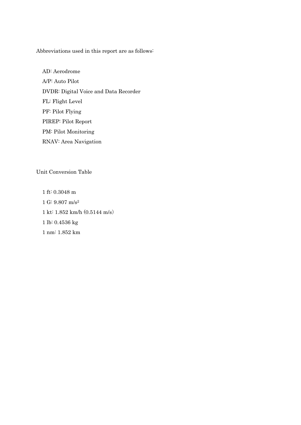Abbreviations used in this report are as follows:

AD: Aerodrome A/P: Auto Pilot DVDR: Digital Voice and Data Recorder FL: Flight Level PF: Pilot Flying PIREP: Pilot Report PM: Pilot Monitoring RNAV: Area Navigation

Unit Conversion Table

1 ft: 0.3048 m 1 G: 9.807 m/s<sup>2</sup> 1 kt: 1.852 km/h (0.5144 m/s) 1 lb: 0.4536 kg 1 nm: 1.852 km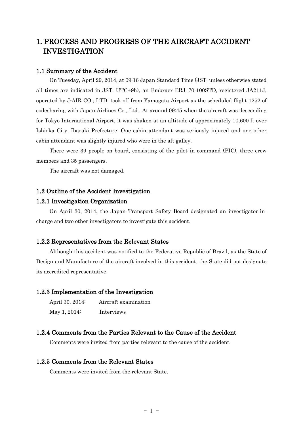### 1. PROCESS AND PROGRESS OF THE AIRCRAFT ACCIDENT INVESTIGATION

#### 1.1 Summary of the Accident

On Tuesday, April 29, 2014, at 09:16 Japan Standard Time (JST: unless otherwise stated all times are indicated in JST, UTC+9h), an Embraer ERJ170-100STD, registered JA211J, operated by J-AIR CO., LTD. took off from Yamagata Airport as the scheduled flight 1252 of codesharing with Japan Airlines Co., Ltd.. At around 09:45 when the aircraft was descending for Tokyo International Airport, it was shaken at an altitude of approximately 10,600 ft over Ishioka City, Ibaraki Prefecture. One cabin attendant was seriously injured and one other cabin attendant was slightly injured who were in the aft galley.

There were 39 people on board, consisting of the pilot in command (PIC), three crew members and 35 passengers.

The aircraft was not damaged.

#### 1.2 Outline of the Accident Investigation

#### 1.2.1 Investigation Organization

On April 30, 2014, the Japan Transport Safety Board designated an investigator-incharge and two other investigators to investigate this accident.

#### 1.2.2 Representatives from the Relevant States

Although this accident was notified to the Federative Republic of Brazil, as the State of Design and Manufacture of the aircraft involved in this accident, the State did not designate its accredited representative.

#### 1.2.3 Implementation of the Investigation

| April 30, 2014: | Aircraft examination |
|-----------------|----------------------|
| May 1, 2014:    | Interviews           |

#### 1.2.4 Comments from the Parties Relevant to the Cause of the Accident

Comments were invited from parties relevant to the cause of the accident.

#### 1.2.5 Comments from the Relevant States

Comments were invited from the relevant State.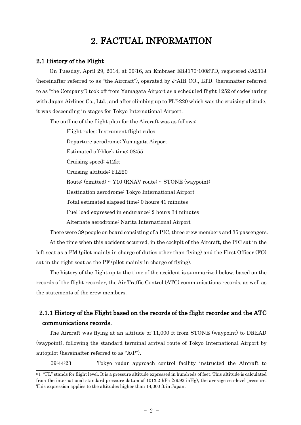## 2. FACTUAL INFORMATION

#### 2.1 History of the Flight

On Tuesday, April 29, 2014, at 09:16, an Embraer ERJ170-100STD, registered JA211J (hereinafter referred to as "the Aircraft"), operated by J-AIR CO., LTD. (hereinafter referred to as "the Company") took off from Yamagata Airport as a scheduled flight 1252 of codesharing with Japan Airlines Co., Ltd., and after climbing up to  $FL*1220$  which was the cruising altitude, it was descending in stages for Tokyo International Airport.

The outline of the flight plan for the Aircraft was as follows:

Flight rules: Instrument flight rules Departure aerodrome: Yamagata Airport Estimated off-block time: 08:55 Cruising speed: 412kt Cruising altitude: FL220 Route: (omitted)  $\sim$  Y10 (RNAV route)  $\sim$  STONE (waypoint) Destination aerodrome: Tokyo International Airport Total estimated elapsed time: 0 hours 41 minutes Fuel load expressed in endurance: 2 hours 34 minutes Alternate aerodrome: Narita International Airport

There were 39 people on board consisting of a PIC, three crew members and 35 passengers. At the time when this accident occurred, in the cockpit of the Aircraft, the PIC sat in the left seat as a PM (pilot mainly in charge of duties other than flying) and the First Officer (FO) sat in the right seat as the PF (pilot mainly in charge of flying).

The history of the flight up to the time of the accident is summarized below, based on the records of the flight recorder, the Air Traffic Control (ATC) communications records, as well as the statements of the crew members.

### 2.1.1 History of the Flight based on the records of the flight recorder and the ATC communications records.

The Aircraft was flying at an altitude of 11,000 ft from STONE (waypoint) to DREAD (waypoint), following the standard terminal arrival route of Tokyo International Airport by autopilot (hereinafter referred to as "A/P").

09:44:23 Tokyo radar approach control facility instructed the Aircraft to

<sup>\*1</sup> "FL" stands for flight level. It is a pressure altitude expressed in hundreds of feet. This altitude is calculated from the international standard pressure datum of 1013.2 hPa (29.92 inHg), the average sea-level pressure. This expression applies to the altitudes higher than 14,000 ft in Japan.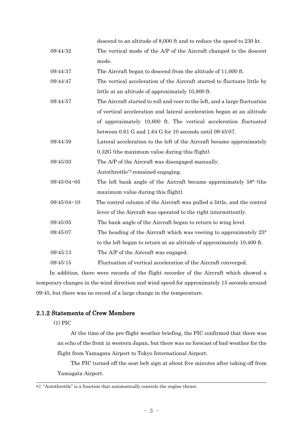|             | descend to an altitude of 8,000 ft and to reduce the speed to 230 kt.          |
|-------------|--------------------------------------------------------------------------------|
| 09:44:32    | The vertical mode of the A/P of the Aircraft changed to the descent            |
|             | mode.                                                                          |
| 09:44:37    | The Aircraft began to descend from the altitude of 11,000 ft.                  |
| 09:44:47    | The vertical acceleration of the Aircraft started to fluctuate little by       |
|             | little at an altitude of approximately 10,800 ft.                              |
| 09:44:57    | The Aircraft started to roll and veer to the left, and a large fluctuation     |
|             | of vertical acceleration and lateral acceleration began at an altitude         |
|             | of approximately 10,600 ft. The vertical acceleration fluctuated               |
|             | between 0.61 G and 1.64 G for 10 seconds until 09:45:07.                       |
| 09:44:59    | Lateral acceleration to the left of the Aircraft became approximately          |
|             | $0.32G$ (the maximum value during this flight).                                |
| 09:45:03    | The A/P of the Aircraft was disengaged manually.                               |
|             | Autothrottle <sup>*2</sup> remained engaging.                                  |
| 09:45:04~05 | The left bank angle of the Aircraft became approximately 58° (the              |
|             | maximum value during this flight).                                             |
| 09:45:04~10 | The control column of the Aircraft was pulled a little, and the control        |
|             | lever of the Aircraft was operated to the right intermittently.                |
| 09:45:05    | The bank angle of the Aircraft began to return to wing level.                  |
| 09:45:07    | The heading of the Aircraft which was veering to approximately 25 <sup>°</sup> |
|             | to the left began to return at an altitude of approximately 10,400 ft.         |
| 09:45:13    | The A/P of the Aircraft was engaged.                                           |
| 09:45:15    | Fluctuation of vertical acceleration of the Aircraft converged.                |
|             |                                                                                |

In addition, there were records of the flight recorder of the Aircraft which showed a temporary changes in the wind direction and wind speed for approximately 15 seconds around 09:45, but there was no record of a large change in the temperature.

#### 2.1.2 Statements of Crew Members

(1) PIC

At the time of the pre-flight weather briefing, the PIC confirmed that there was an echo of the front in western Japan, but there was no forecast of bad weather for the flight from Yamagata Airport to Tokyo International Airport.

The PIC turned off the seat belt sign at about five minutes after taking off from Yamagata Airport.

<sup>\*2</sup> "Autothrottle" is a function that automatically controls the engine thrust.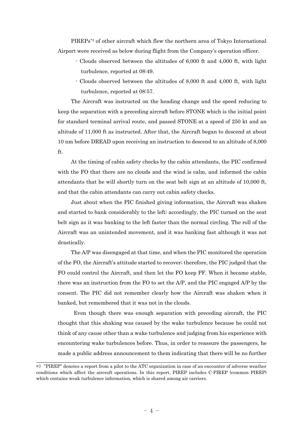PIREPs \*3 of other aircraft which flew the northern area of Tokyo International Airport were received as below during flight from the Company's operation officer.

- Clouds observed between the altitudes of 6,000 ft and 4,000 ft, with light turbulence, reported at 08:49.
- Clouds observed between the altitudes of 8,000 ft and 4,000 ft, with light turbulence, reported at 08:57.

The Aircraft was instructed on the heading change and the speed reducing to keep the separation with a preceding aircraft before STONE which is the initial point for standard terminal arrival route, and passed STONE at a speed of 250 kt and an altitude of 11,000 ft as instructed. After that, the Aircraft began to descend at about 10 nm before DREAD upon receiving an instruction to descend to an altitude of 8,000 ft.

At the timing of cabin safety checks by the cabin attendants, the PIC confirmed with the FO that there are no clouds and the wind is calm, and informed the cabin attendants that he will shortly turn on the seat belt sign at an altitude of 10,000 ft, and that the cabin attendants can carry out cabin safety checks.

Just about when the PIC finished giving information, the Aircraft was shaken and started to bank considerably to the left; accordingly, the PIC turned on the seat belt sign as it was banking to the left faster than the normal circling. The roll of the Aircraft was an unintended movement, and it was banking fast although it was not drastically.

The A/P was disengaged at that time, and when the PIC monitored the operation of the FO, the Aircraft's attitude started to recover; therefore, the PIC judged that the FO could control the Aircraft, and then let the FO keep PF. When it became stable, there was an instruction from the FO to set the A/P, and the PIC engaged A/P by the consent. The PIC did not remember clearly how the Aircraft was shaken when it banked, but remembered that it was not in the clouds.

Even though there was enough separation with preceding aircraft, the PIC thought that this shaking was caused by the wake turbulence because he could not think of any cause other than a wake turbulence and judging from his experience with encountering wake turbulences before. Thus, in order to reassure the passengers, he made a public address announcement to them indicating that there will be no further

<sup>\*3</sup> "PIREP" denotes a report from a pilot to the ATC organization in case of an encounter of adverse weather conditions which affect the aircraft operations. In this report, PIREP includes C-PIREP (common PIREP) which contains weak turbulence information, which is shared among air carriers.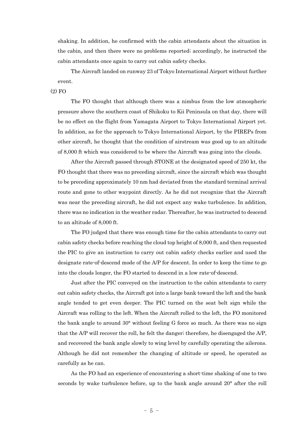shaking. In addition, he confirmed with the cabin attendants about the situation in the cabin, and then there were no problems reported; accordingly, he instructed the cabin attendants once again to carry out cabin safety checks.

The Aircraft landed on runway 23 of Tokyo International Airport without further event.

#### $(2)$  FO

The FO thought that although there was a nimbus from the low atmospheric pressure above the southern coast of Shikoku to Kii Peninsula on that day, there will be no effect on the flight from Yamagata Airport to Tokyo International Airport yet. In addition, as for the approach to Tokyo International Airport, by the PIREPs from other aircraft, he thought that the condition of airstream was good up to an altitude of 8,000 ft which was considered to be where the Aircraft was going into the clouds.

After the Aircraft passed through STONE at the designated speed of 250 kt, the FO thought that there was no preceding aircraft, since the aircraft which was thought to be preceding approximately 10 nm had deviated from the standard terminal arrival route and gone to other waypoint directly. As he did not recognize that the Aircraft was near the preceding aircraft, he did not expect any wake turbulence. In addition, there was no indication in the weather radar. Thereafter, he was instructed to descend to an altitude of 8,000 ft.

The FO judged that there was enough time for the cabin attendants to carry out cabin safety checks before reaching the cloud top height of 8,000 ft, and then requested the PIC to give an instruction to carry out cabin safety checks earlier and used the designate rate-of-descend mode of the A/P for descent. In order to keep the time to go into the clouds longer, the FO started to descend in a low rate-of-descend.

Just after the PIC conveyed on the instruction to the cabin attendants to carry out cabin safety checks, the Aircraft got into a large bank toward the left and the bank angle tended to get even deeper. The PIC turned on the seat belt sign while the Aircraft was rolling to the left. When the Aircraft rolled to the left, the FO monitored the bank angle to around 30° without feeling G force so much. As there was no sign that the A/P will recover the roll, he felt the danger; therefore, he disengaged the A/P, and recovered the bank angle slowly to wing level by carefully operating the ailerons. Although he did not remember the changing of altitude or speed, he operated as carefully as he can.

As the FO had an experience of encountering a short-time shaking of one to two seconds by wake turbulence before, up to the bank angle around 20° after the roll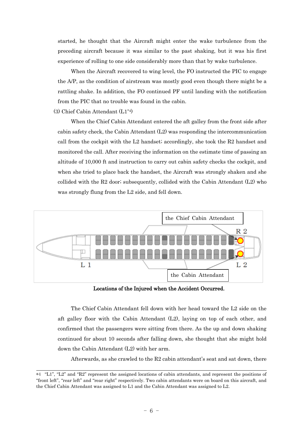started, he thought that the Aircraft might enter the wake turbulence from the preceding aircraft because it was similar to the past shaking, but it was his first experience of rolling to one side considerably more than that by wake turbulence.

When the Aircraft recovered to wing level, the FO instructed the PIC to engage the A/P, as the condition of airstream was mostly good even though there might be a rattling shake. In addition, the FO continued PF until landing with the notification from the PIC that no trouble was found in the cabin.

(3) Chief Cabin Attendant (L1\*4)

When the Chief Cabin Attendant entered the aft galley from the front side after cabin safety check, the Cabin Attendant (L2) was responding the intercommunication call from the cockpit with the L2 handset; accordingly, she took the R2 handset and monitored the call. After receiving the information on the estimate time of passing an altitude of 10,000 ft and instruction to carry out cabin safety checks the cockpit, and when she tried to place back the handset, the Aircraft was strongly shaken and she collided with the R2 door; subsequently, collided with the Cabin Attendant (L2) who was strongly flung from the L2 side, and fell down.



Locations of the Injured when the Accident Occurred.

The Chief Cabin Attendant fell down with her head toward the L2 side on the aft galley floor with the Cabin Attendant (L2), laying on top of each other, and confirmed that the passengers were sitting from there. As the up and down shaking continued for about 10 seconds after falling down, she thought that she might hold down the Cabin Attendant (L2) with her arm.

Afterwards, as she crawled to the  $R2$  cabin attendant's seat and sat down, there

<sup>\*4</sup> "L1", "L2" and "R2" represent the assigned locations of cabin attendants, and represent the positions of "front left", "rear left" and "rear right" respectively. Two cabin attendants were on board on this aircraft, and the Chief Cabin Attendant was assigned to L1 and the Cabin Attendant was assigned to L2.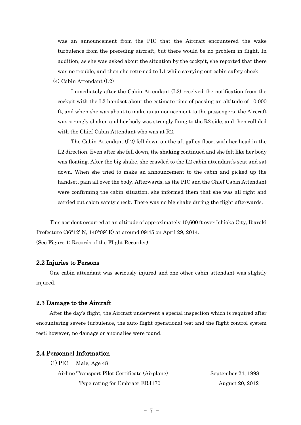was an announcement from the PIC that the Aircraft encountered the wake turbulence from the preceding aircraft, but there would be no problem in flight. In addition, as she was asked about the situation by the cockpit, she reported that there was no trouble, and then she returned to L1 while carrying out cabin safety check.

(4) Cabin Attendant (L2)

Immediately after the Cabin Attendant  $(L2)$  received the notification from the cockpit with the L2 handset about the estimate time of passing an altitude of 10,000 ft, and when she was about to make an announcement to the passengers, the Aircraft was strongly shaken and her body was strongly flung to the R2 side, and then collided with the Chief Cabin Attendant who was at R2.

The Cabin Attendant  $(L2)$  fell down on the aft galley floor, with her head in the L2 direction. Even after she fell down, the shaking continued and she felt like her body was floating. After the big shake, she crawled to the L2 cabin attendant's seat and sat down. When she tried to make an announcement to the cabin and picked up the handset, pain all over the body. Afterwards, as the PIC and the Chief Cabin Attendant were confirming the cabin situation, she informed them that she was all right and carried out cabin safety check. There was no big shake during the flight afterwards.

This accident occurred at an altitude of approximately 10,600 ft over Ishioka City, Ibaraki Prefecture (36°12' N, 140°09' E) at around 09:45 on April 29, 2014. (See Figure 1: Records of the Flight Recorder)

#### 2.2 Injuries to Persons

One cabin attendant was seriously injured and one other cabin attendant was slightly injured.

#### 2.3 Damage to the Aircraft

After the day's flight, the Aircraft underwent a special inspection which is required after encountering severe turbulence, the auto flight operational test and the flight control system test; however, no damage or anomalies were found.

#### 2.4 Personnel Information

| (1) PIC | Male, Age 48 |
|---------|--------------|
|---------|--------------|

| Airline Transport Pilot Certificate (Airplane) | September 24, 1998 |
|------------------------------------------------|--------------------|
| Type rating for Embraer ERJ170                 | August 20, 2012    |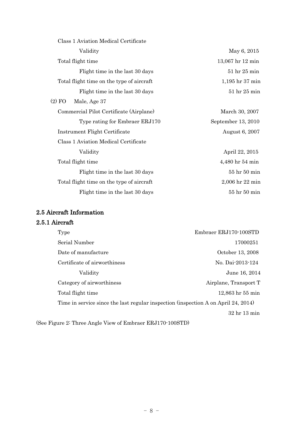| Class 1 Aviation Medical Certificate      |                    |
|-------------------------------------------|--------------------|
| Validity                                  | May 6, 2015        |
| Total flight time                         | 13,067 hr 12 min   |
| Flight time in the last 30 days           | $51$ hr $25$ min   |
| Total flight time on the type of aircraft | 1,195 hr 37 min    |
| Flight time in the last 30 days           | 51 hr 25 min       |
| $(2)$ FO<br>Male, Age 37                  |                    |
| Commercial Pilot Certificate (Airplane)   | March 30, 2007     |
| Type rating for Embraer ERJ170            | September 13, 2010 |
| Instrument Flight Certificate             | August 6, 2007     |
| Class 1 Aviation Medical Certificate      |                    |
| Validity                                  | April 22, 2015     |
| Total flight time                         | 4,480 hr 54 min    |
| Flight time in the last 30 days           | 55 hr 50 min       |
| Total flight time on the type of aircraft | 2,006 hr 22 min    |
| Flight time in the last 30 days           | 55 hr 50 min       |

### 2.5 Aircraft Information

### 2.5.1 Aircraft

| Type                                                                               | Embraer ERJ170-100STD              |
|------------------------------------------------------------------------------------|------------------------------------|
| Serial Number                                                                      | 17000251                           |
| Date of manufacture                                                                | October 13, 2008                   |
| Certificate of airworthiness                                                       | No. Dai-2013-124                   |
| Validity                                                                           | June 16, 2014                      |
| Category of airworthiness                                                          | Airplane, Transport T              |
| Total flight time                                                                  | 12,863 hr 55 min                   |
| Time in service since the last regular inspection (inspection A on April 24, 2014) |                                    |
|                                                                                    | 32 <sub>hr</sub> 13 <sub>min</sub> |
|                                                                                    |                                    |

(See Figure 2: Three Angle View of Embraer ERJ170-100STD)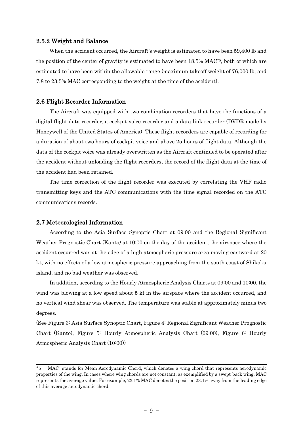#### 2.5.2 Weight and Balance

When the accident occurred, the Aircraft's weight is estimated to have been 59,400 lb and the position of the center of gravity is estimated to have been 18.5% MAC\*5, both of which are estimated to have been within the allowable range (maximum takeoff weight of 76,000 lb, and 7.8 to 23.5% MAC corresponding to the weight at the time of the accident).

#### 2.6 Flight Recorder Information

The Aircraft was equipped with two combination recorders that have the functions of a digital flight data recorder, a cockpit voice recorder and a data link recorder (DVDR made by Honeywell of the United States of America). These flight recorders are capable of recording for a duration of about two hours of cockpit voice and above 25 hours of flight data. Although the data of the cockpit voice was already overwritten as the Aircraft continued to be operated after the accident without unloading the flight recorders, the record of the flight data at the time of the accident had been retained.

The time correction of the flight recorder was executed by correlating the VHF radio transmitting keys and the ATC communications with the time signal recorded on the ATC communications records.

#### 2.7 Meteorological Information

According to the Asia Surface Synoptic Chart at 09:00 and the Regional Significant Weather Prognostic Chart (Kanto) at 10:00 on the day of the accident, the airspace where the accident occurred was at the edge of a high atmospheric pressure area moving eastword at 20 kt, with no effects of a low atmospheric pressure approaching from the south coast of Shikoku island, and no bad weather was observed.

In addition, according to the Hourly Atmospheric Analysis Charts at 09:00 and 10:00, the wind was blowing at a low speed about 5 kt in the airspace where the accident occurred, and no vertical wind shear was observed. The temperature was stable at approximately minus two degrees.

(See Figure 3: Asia Surface Synoptic Chart, Figure 4: Regional Significant Weather Prognostic Chart (Kanto), Figure 5: Hourly Atmospheric Analysis Chart (09:00), Figure 6: Hourly Atmospheric Analysis Chart (10:00))

<sup>\*5</sup> "MAC" stands for Mean Aerodynamic Chord, which denotes a wing chord that represents aerodynamic properties of the wing. In cases where wing chords are not constant, as exemplified by a swept-back wing, MAC represents the average value. For example, 23.1% MAC denotes the position 23.1% away from the leading edge of this average aerodynamic chord.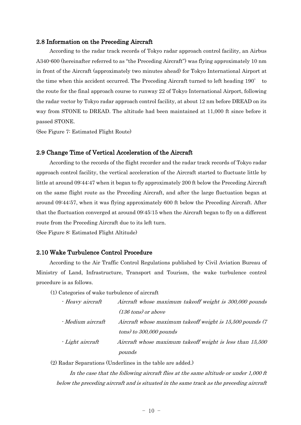#### 2.8 Information on the Preceding Aircraft

According to the radar track records of Tokyo radar approach control facility, an Airbus A340-600 (hereinafter referred to as "the Preceding Aircraft") was flying approximately 10 nm in front of the Aircraft (approximately two minutes ahead) for Tokyo International Airport at the time when this accident occurred. The Preceding Aircraft turned to left heading 190° to the route for the final approach course to runway 22 of Tokyo International Airport, following the radar vector by Tokyo radar approach control facility, at about 12 nm before DREAD on its way from STONE to DREAD. The altitude had been maintained at 11,000 ft since before it passed STONE.

(See Figure 7: Estimated Flight Route)

#### 2.9 Change Time of Vertical Acceleration of the Aircraft

According to the records of the flight recorder and the radar track records of Tokyo radar approach control facility, the vertical acceleration of the Aircraft started to fluctuate little by little at around 09:44:47 when it began to fly approximately 200 ft below the Preceding Aircraft on the same flight route as the Preceding Aircraft, and after the large fluctuation began at around 09:44:57, when it was flying approximately 600 ft below the Preceding Aircraft. After that the fluctuation converged at around 09:45:15 when the Aircraft began to fly on a different route from the Preceding Aircraft due to its left turn.

(See Figure 8: Estimated Flight Altitude)

#### 2.10 Wake Turbulence Control Procedure

According to the Air Traffic Control Regulations published by Civil Aviation Bureau of Ministry of Land, Infrastructure, Transport and Tourism, the wake turbulence control procedure is as follows.

(1) Categories of wake turbulence of aircraft

| · Heavy aircraft         | Aircraft whose maximum takeoff weight is 300,000 pounds    |
|--------------------------|------------------------------------------------------------|
|                          | $(136 \text{ tons})$ or above                              |
| <i>- Medium aircraft</i> | Aircraft whose maximum takeoff weight is 15,500 pounds (7) |
|                          | $tons)$ to 300,000 pounds                                  |
| - Light aircraft         | Aircraft whose maximum takeoff weight is less than 15,500  |
|                          | pounds                                                     |

(2) Radar Separations (Underlines in the table are added.)

In the case that the following aircraft flies at the same altitude or under 1,000 ft below the preceding aircraft and is situated in the same track as the preceding aircraft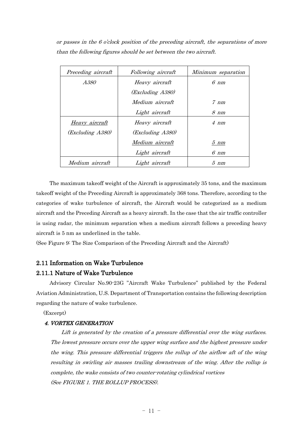or passes in the 6 o'clock position of the preceding aircraft, the separations of more than the following figures should be set between the two aircraft.

| Preceding aircraft | Following aircraft | Minimum separation |
|--------------------|--------------------|--------------------|
| A380               | Heavy aircraft     | $6 \ nm$           |
|                    | (Excluding A380)   |                    |
|                    | Medium aircraft    | $7 \ nm$           |
|                    | Light aircraft     | $8 \ nm$           |
| Heavy aircraft     | Heavy aircraft     | $4 \ nm$           |
| (Excluding A380)   | (Excluding A380)   |                    |
|                    | Medium aircraft    | $5 \ nm$           |
|                    | Light aircraft     | $6 \ nm$           |
| Medium aircraft    | Light aircraft     | $5\ nm$            |

The maximum takeoff weight of the Aircraft is approximately 35 tons, and the maximum takeoff weight of the Preceding Aircraft is approximately 368 tons. Therefore, according to the categories of wake turbulence of aircraft, the Aircraft would be categorized as a medium aircraft and the Preceding Aircraft as a heavy aircraft. In the case that the air traffic controller is using radar, the minimum separation when a medium aircraft follows a preceding heavy aircraft is 5 nm as underlined in the table.

(See Figure 9: The Size Comparison of the Preceding Aircraft and the Aircraft)

#### 2.11 Information on Wake Turbulence

#### 2.11.1 Nature of Wake Turbulence

Advisory Circular No.90-23G "Aircraft Wake Turbulence" published by the Federal Aviation Administration, U.S. Department of Transportation contains the following description regarding the nature of wake turbulence.

(Excerpt)

#### 4. VORTEX GENERATION

Lift is generated by the creation of a pressure differential over the wing surfaces. The lowest pressure occurs over the upper wing surface and the highest pressure under the wing. This pressure differential triggers the rollup of the airflow aft of the wing resulting in swirling air masses trailing downstream of the wing. After the rollup is complete, the wake consists of two counter-rotating cylindrical vortices (See FIGURE 1. THE ROLLUP PROCESS).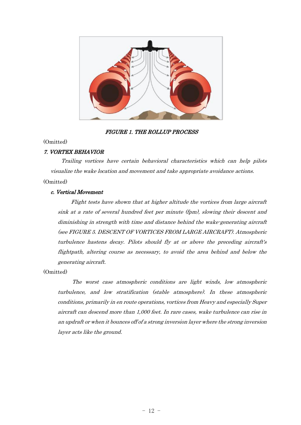

#### FIGURE 1. THE ROLLUP PROCESS

#### (Omitted)

#### 7. VORTEX BEHAVIOR

Trailing vortices have certain behavioral characteristics which can help pilots visualize the wake location and movement and take appropriate avoidance actions. (Omitted)

## c. Vertical Movement

# Flight tests have shown that at higher altitude the vortices from large aircraft sink at a rate of several hundred feet per minute (fpm), slowing their descent and diminishing in strength with time and distance behind the wake-generating aircraft (see FIGURE 5. DESCENT OF VORTICES FROM LARGE AIRCRAFT). Atmospheric turbulence hastens decay. Pilots should fly at or above the preceding aircraft's flightpath, altering course as necessary, to avoid the area behind and below the

(Omitted)

generating aircraft.

The worst case atmospheric conditions are light winds, low atmospheric turbulence, and low stratification (stable atmosphere). In these atmospheric conditions, primarily in en route operations, vortices from Heavy and especially Super aircraft can descend more than 1,000 feet. In rare cases, wake turbulence can rise in an updraft or when it bounces off of a strong inversion layer where the strong inversion layer acts like the ground.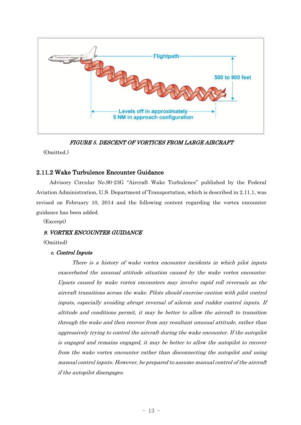

FIGURE 5. DESCENT OF VORTICES FROM LARGE AIRCRAFT

(Omitted.)

#### 2.11.2 Wake Turbulence Encounter Guidance

Advisory Circular No.90-23G "Aircraft Wake Turbulence" published by the Federal Aviation Administration, U.S. Department of Transportation, which is described in 2.11.1, was revised on February 10, 2014 and the following content regarding the vortex encounter guidance has been added.

(Excerpt)

#### 9. VORTEX ENCOUNTER GUIDANCE

(Omitted)

#### c. Control Inputs

There is a history of wake vortex encounter incidents in which pilot inputs exacerbated the unusual attitude situation caused by the wake vortex encounter. Upsets caused by wake vortex encounters may involve rapid roll reversals as the aircraft transitions across the wake. Pilots should exercise caution with pilot control inputs, especially avoiding abrupt reversal of aileron and rudder control inputs. If altitude and conditions permit, it may be better to allow the aircraft to transition through the wake and then recover from any resultant unusual attitude, rather than aggressively trying to control the aircraft during the wake encounter. If the autopilot is engaged and remains engaged, it may be better to allow the autopilot to recover from the wake vortex encounter rather than disconnecting the autopilot and using manual control inputs. However, be prepared to assume manual control of the aircraft if the autopilot disengages.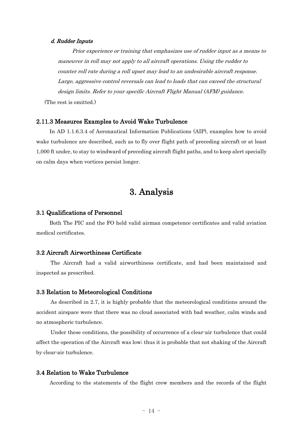#### d. Rudder Inputs

Prior experience or training that emphasizes use of rudder input as a means to maneuver in roll may not apply to all aircraft operations. Using the rudder to counter roll rate during a roll upset may lead to an undesirable aircraft response. Large, aggressive control reversals can lead to loads that can exceed the structural design limits. Refer to your specific Aircraft Flight Manual (AFM) guidance.

(The rest is omitted.)

#### 2.11.3 Measures Examples to Avoid Wake Turbulence

In AD 1.1.6.3.4 of Aeronautical Information Publications (AIP), examples how to avoid wake turbulence are described, such as to fly over flight path of preceding aircraft or at least 1,000 ft under, to stay to windward of preceding aircraft flight paths, and to keep alert specially on calm days when vortices persist longer.

# 3. Analysis

#### 3.1 Qualifications of Personnel

Both The PIC and the FO held valid airman competence certificates and valid aviation medical certificates.

#### 3.2 Aircraft Airworthiness Certificate

The Aircraft had a valid airworthiness certificate, and had been maintained and inspected as prescribed.

#### 3.3 Relation to Meteorological Conditions

As described in 2.7, it is highly probable that the meteorological conditions around the accident airspace were that there was no cloud associated with bad weather, calm winds and no atmospheric turbulence.

Under these conditions, the possibility of occurrence of a clear-air turbulence that could affect the operation of the Aircraft was low; thus it is probable that not shaking of the Aircraft by clear-air turbulence.

#### 3.4 Relation to Wake Turbulence

According to the statements of the flight crew members and the records of the flight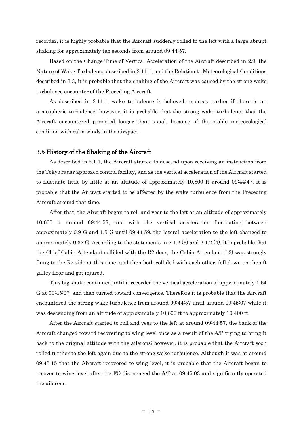recorder, it is highly probable that the Aircraft suddenly rolled to the left with a large abrupt shaking for approximately ten seconds from around 09:44:57.

Based on the Change Time of Vertical Acceleration of the Aircraft described in 2.9, the Nature of Wake Turbulence described in 2.11.1, and the Relation to Meteorological Conditions described in 3.3, it is probable that the shaking of the Aircraft was caused by the strong wake turbulence encounter of the Preceding Aircraft.

As described in 2.11.1, wake turbulence is believed to decay earlier if there is an atmospheric turbulence; however, it is probable that the strong wake turbulence that the Aircraft encountered persisted longer than usual, because of the stable meteorological condition with calm winds in the airspace.

#### 3.5 History of the Shaking of the Aircraft

As described in 2.1.1, the Aircraft started to descend upon receiving an instruction from the Tokyo radar approach control facility, and as the vertical acceleration of the Aircraft started to fluctuate little by little at an altitude of approximately 10,800 ft around 09:44:47, it is probable that the Aircraft started to be affected by the wake turbulence from the Preceding Aircraft around that time.

After that, the Aircraft began to roll and veer to the left at an altitude of approximately 10,600 ft around 09:44:57, and with the vertical acceleration fluctuating between approximately 0.9 G and 1.5 G until 09:44:59, the lateral acceleration to the left changed to approximately 0.32 G. According to the statements in 2.1.2 (3) and 2.1.2 (4), it is probable that the Chief Cabin Attendant collided with the R2 door, the Cabin Attendant (L2) was strongly flung to the R2 side at this time, and then both collided with each other, fell down on the aft galley floor and got injured.

This big shake continued until it recorded the vertical acceleration of approximately 1.64 G at 09:45:07, and then turned toward convergence. Therefore it is probable that the Aircraft encountered the strong wake turbulence from around 09:44:57 until around 09:45:07 while it was descending from an altitude of approximately 10,600 ft to approximately 10,400 ft.

After the Aircraft started to roll and veer to the left at around 09:44:57, the bank of the Aircraft changed toward recovering to wing level once as a result of the A/P trying to bring it back to the original attitude with the ailerons; however, it is probable that the Aircraft soon rolled further to the left again due to the strong wake turbulence. Although it was at around 09:45:15 that the Aircraft recovered to wing level, it is probable that the Aircraft began to recover to wing level after the FO disengaged the A/P at 09:45:03 and significantly operated the ailerons.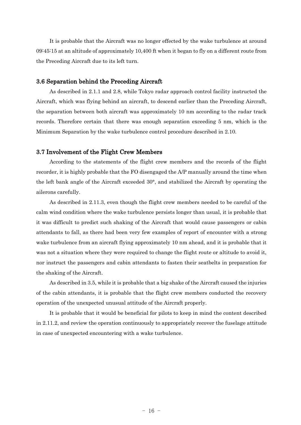It is probable that the Aircraft was no longer effected by the wake turbulence at around 09:45:15 at an altitude of approximately 10,400 ft when it began to fly on a different route from the Preceding Aircraft due to its left turn.

#### 3.6 Separation behind the Preceding Aircraft

As described in 2.1.1 and 2.8, while Tokyo radar approach control facility instructed the Aircraft, which was flying behind an aircraft, to descend earlier than the Preceding Aircraft, the separation between both aircraft was approximately 10 nm according to the radar track records. Therefore certain that there was enough separation exceeding 5 nm, which is the Minimum Separation by the wake turbulence control procedure described in 2.10.

#### 3.7 Involvement of the Flight Crew Members

According to the statements of the flight crew members and the records of the flight recorder, it is highly probable that the FO disengaged the A/P manually around the time when the left bank angle of the Aircraft exceeded 30°, and stabilized the Aircraft by operating the ailerons carefully.

As described in 2.11.3, even though the flight crew members needed to be careful of the calm wind condition where the wake turbulence persists longer than usual, it is probable that it was difficult to predict such shaking of the Aircraft that would cause passengers or cabin attendants to fall, as there had been very few examples of report of encounter with a strong wake turbulence from an aircraft flying approximately 10 nm ahead, and it is probable that it was not a situation where they were required to change the flight route or altitude to avoid it, nor instruct the passengers and cabin attendants to fasten their seatbelts in preparation for the shaking of the Aircraft.

As described in 3.5, while it is probable that a big shake of the Aircraft caused the injuries of the cabin attendants, it is probable that the flight crew members conducted the recovery operation of the unexpected unusual attitude of the Aircraft properly.

It is probable that it would be beneficial for pilots to keep in mind the content described in 2.11.2, and review the operation continuously to appropriately recover the fuselage attitude in case of unexpected encountering with a wake turbulence.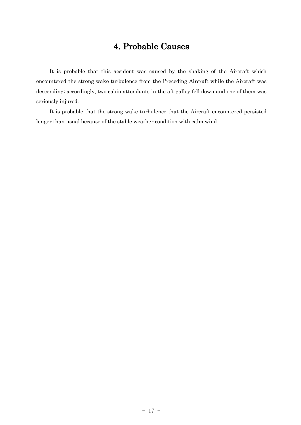# 4. Probable Causes

It is probable that this accident was caused by the shaking of the Aircraft which encountered the strong wake turbulence from the Preceding Aircraft while the Aircraft was descending; accordingly, two cabin attendants in the aft galley fell down and one of them was seriously injured.

It is probable that the strong wake turbulence that the Aircraft encountered persisted longer than usual because of the stable weather condition with calm wind.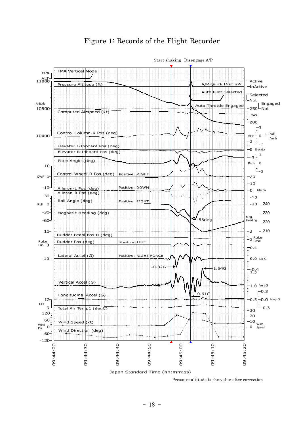

### Figure 1: Records of the Flight Recorder

Pressure altitude is the value after correction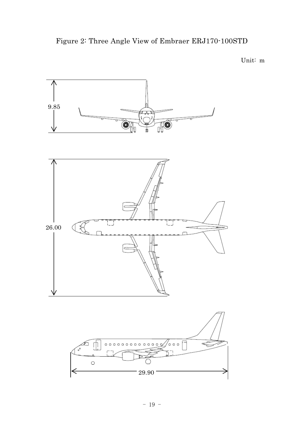Figure 2: Three Angle View of Embraer ERJ170-100STD

Unit: m

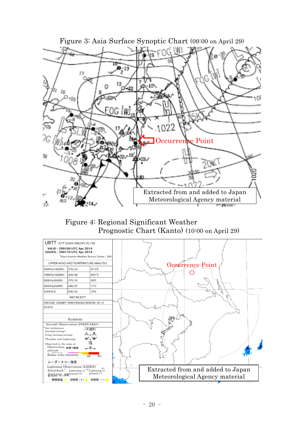

Figure 4: Regional Significant Weather Prognostic Chart (Kanto) (10:00 on April 29)

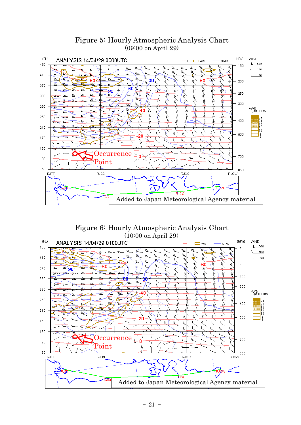

### Figure 5: Hourly Atmospheric Analysis Chart (09:00 on April 29)

Figure 6: Hourly Atmospheric Analysis Chart (10:00 on April 29)

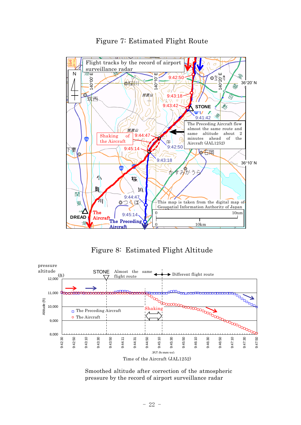

Figure 7: Estimated Flight Route

Figure 8: Estimated Flight Altitude



Smoothed altitude after correction of the atmospheric pressure by the record of airport surveillance radar